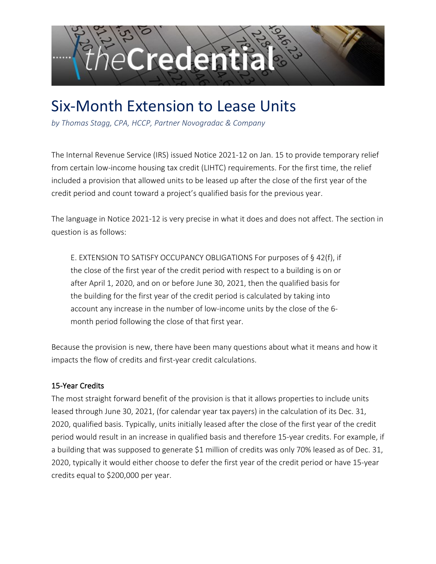

# Six-Month Extension to Lease Units

*by Thomas Stagg, CPA, HCCP, Partner Novogradac & Company* 

The Internal Revenue Service (IRS) issued Notice 2021-12 on Jan. 15 to provide temporary relief from certain low-income housing tax credit (LIHTC) requirements. For the first time, the relief included a provision that allowed units to be leased up after the close of the first year of the credit period and count toward a project's qualified basis for the previous year.

The language in Notice 2021-12 is very precise in what it does and does not affect. The section in question is as follows:

E. EXTENSION TO SATISFY OCCUPANCY OBLIGATIONS For purposes of § 42(f), if the close of the first year of the credit period with respect to a building is on or after April 1, 2020, and on or before June 30, 2021, then the qualified basis for the building for the first year of the credit period is calculated by taking into account any increase in the number of low-income units by the close of the 6 month period following the close of that first year.

Because the provision is new, there have been many questions about what it means and how it impacts the flow of credits and first-year credit calculations.

## 15-Year Credits

The most straight forward benefit of the provision is that it allows properties to include units leased through June 30, 2021, (for calendar year tax payers) in the calculation of its Dec. 31, 2020, qualified basis. Typically, units initially leased after the close of the first year of the credit period would result in an increase in qualified basis and therefore 15-year credits. For example, if a building that was supposed to generate \$1 million of credits was only 70% leased as of Dec. 31, 2020, typically it would either choose to defer the first year of the credit period or have 15-year credits equal to \$200,000 per year.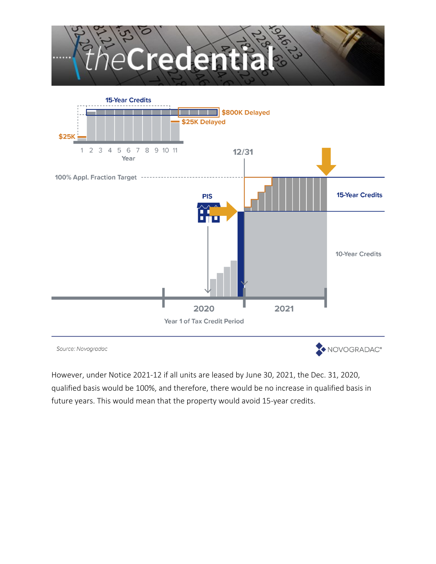

However, under Notice 2021-12 if all units are leased by June 30, 2021, the Dec. 31, 2020, qualified basis would be 100%, and therefore, there would be no increase in qualified basis in future years. This would mean that the property would avoid 15-year credits.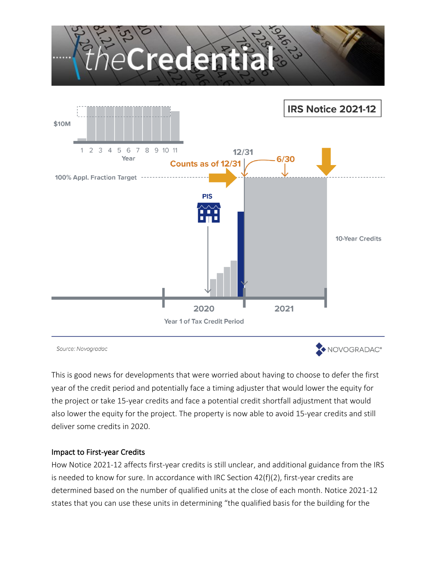

This is good news for developments that were worried about having to choose to defer the first year of the credit period and potentially face a timing adjuster that would lower the equity for the project or take 15-year credits and face a potential credit shortfall adjustment that would also lower the equity for the project. The property is now able to avoid 15-year credits and still deliver some credits in 2020.

#### Impact to First-year Credits

How Notice 2021-12 affects first-year credits is still unclear, and additional guidance from the IRS is needed to know for sure. In accordance with IRC Section 42(f)(2), first-year credits are determined based on the number of qualified units at the close of each month. Notice 2021-12 states that you can use these units in determining "the qualified basis for the building for the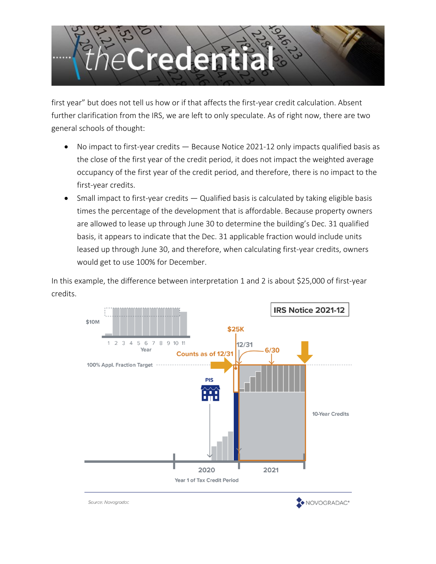

first year" but does not tell us how or if that affects the first-year credit calculation. Absent further clarification from the IRS, we are left to only speculate. As of right now, there are two general schools of thought:

- No impact to first-year credits Because Notice 2021-12 only impacts qualified basis as the close of the first year of the credit period, it does not impact the weighted average occupancy of the first year of the credit period, and therefore, there is no impact to the first-year credits.
- Small impact to first-year credits Qualified basis is calculated by taking eligible basis times the percentage of the development that is affordable. Because property owners are allowed to lease up through June 30 to determine the building's Dec. 31 qualified basis, it appears to indicate that the Dec. 31 applicable fraction would include units leased up through June 30, and therefore, when calculating first-year credits, owners would get to use 100% for December.

In this example, the difference between interpretation 1 and 2 is about \$25,000 of first-year credits.

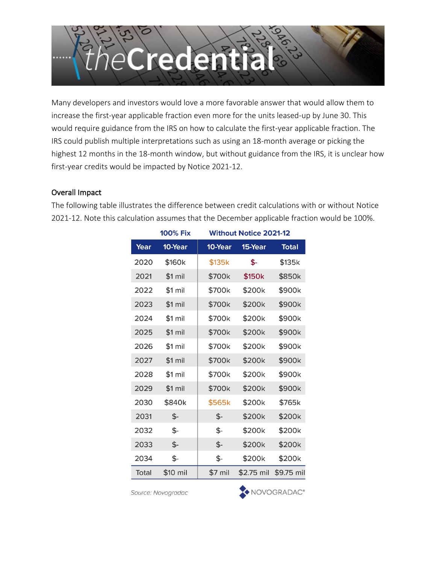

Many developers and investors would love a more favorable answer that would allow them to increase the first-year applicable fraction even more for the units leased-up by June 30. This would require guidance from the IRS on how to calculate the first-year applicable fraction. The IRS could publish multiple interpretations such as using an 18-month average or picking the highest 12 months in the 18-month window, but without guidance from the IRS, it is unclear how first-year credits would be impacted by Notice 2021-12.

## Overall Impact

The following table illustrates the difference between credit calculations with or without Notice 2021-12. Note this calculation assumes that the December applicable fraction would be 100%.

|       | 100% Fix | <b>Without Notice 2021-12</b> |            |              |
|-------|----------|-------------------------------|------------|--------------|
| Year  | 10-Year  | 10-Year                       | 15-Year    | <b>Total</b> |
| 2020  | \$160k   | \$135k                        | \$-        | \$135k       |
| 2021  | \$1 mi   | \$700k                        | \$150k     | \$850k       |
| 2022  | \$1 mi   | \$700k                        | \$200k     | \$900k       |
| 2023  | \$1 mi   | \$700k                        | \$200k     | \$900k       |
| 2024  | \$1 mi   | \$700k                        | \$200k     | \$900k       |
| 2025  | \$1 mi   | \$700k                        | \$200k     | \$900k       |
| 2026  | \$1 mi   | \$700k                        | \$200k     | \$900k       |
| 2027  | \$1 mi   | \$700k                        | \$200k     | \$900k       |
| 2028  | \$1 mi   | \$700k                        | \$200k     | \$900k       |
| 2029  | \$1 mi   | \$700k                        | \$200k     | \$900k       |
| 2030  | \$840k   | \$565k                        | \$200k     | \$765k       |
| 2031  | $$-$     | $$-$                          | \$200k     | \$200k       |
| 2032  | \$-      | \$-                           | \$200k     | \$200k       |
| 2033  | \$-      | $$-$                          | \$200k     | \$200k       |
| 2034  | \$-      | \$-                           | \$200k     | \$200k       |
| Total | \$10 mil | $$7$ mil                      | \$2.75 mil | \$9.75 mil   |

Source: Novogradac

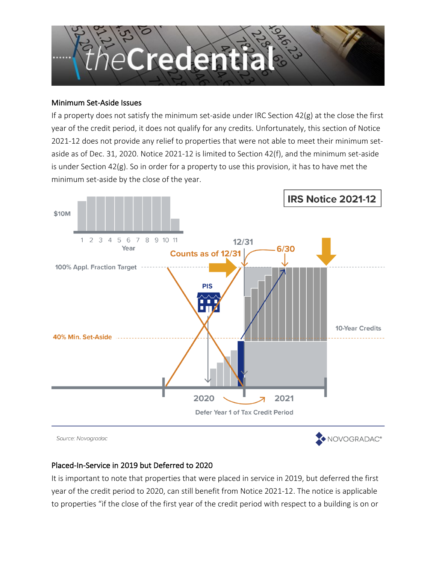

#### Minimum Set-Aside Issues

If a property does not satisfy the minimum set-aside under IRC Section 42(g) at the close the first year of the credit period, it does not qualify for any credits. Unfortunately, this section of Notice 2021-12 does not provide any relief to properties that were not able to meet their minimum setaside as of Dec. 31, 2020. Notice 2021-12 is limited to Section 42(f), and the minimum set-aside is under Section 42(g). So in order for a property to use this provision, it has to have met the minimum set-aside by the close of the year.



## Placed-In-Service in 2019 but Deferred to 2020

It is important to note that properties that were placed in service in 2019, but deferred the first year of the credit period to 2020, can still benefit from Notice 2021-12. The notice is applicable to properties "if the close of the first year of the credit period with respect to a building is on or